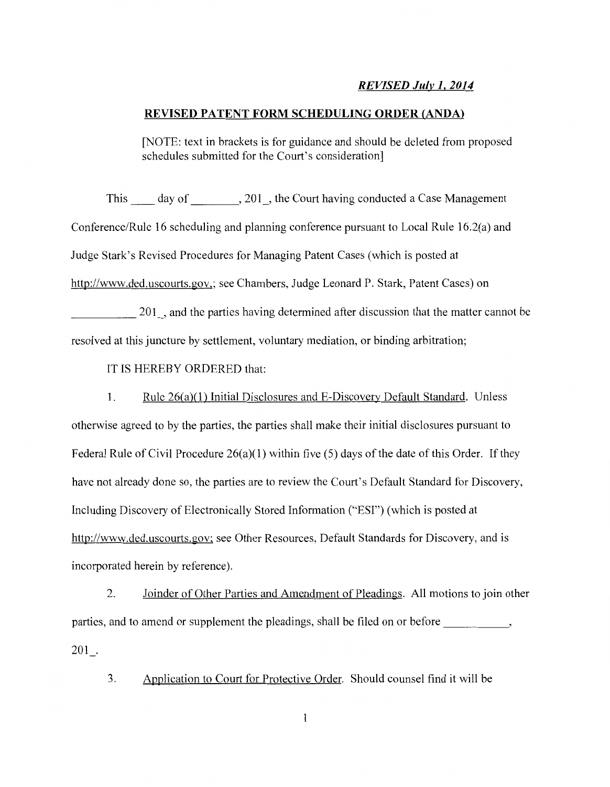## *REVISED Julv* **l,** *2014*

#### **REVISED PATENT FORM SCHEDULING ORDER (ANDA)**

[NOTE: text in brackets is for guidance and should be deleted from proposed schedules submitted for the Court's consideration]

This day of , 201, the Court having conducted a Case Management Conference/Rule 16 scheduling and planning conference pursuant to Local Rule 16.2(a) and Judge Stark's Revised Procedures for Managing Patent Cases (which is posted at http://www.ded.uscourts.gov,; see Chambers, Judge Leonard P. Stark, Patent Cases) on 201, and the parties having determined after discussion that the matter cannot be

resolved at this juncture by settlement, voluntary mediation, or binding arbitration;

IT IS HEREBY ORDERED that:

1. Rule 26(a)(l) Initial Disclosures and E-Discovery Default Standard. Unless

otherwise agreed to by the parties, the parties shall make their initial disclosures pursuant to Federal Rule of Civil Procedure  $26(a)(1)$  within five (5) days of the date of this Order. If they have not already done so, the parties are to review the Court's Default Standard for Discovery, Including Discovery of Electronically Stored Information ("ESI") (which is posted at http://www.ded.uscourts.gov; see Other Resources, Default Standards for Discovery, and is incorporated herein by reference).

2. Joinder of Other Parties and Amendment of Pleadings. All motions to join other parties, and to amend or supplement the pleadings, shall be filed on or before 201 .

3. Application to Court for Protective Order. Should counsel find it will be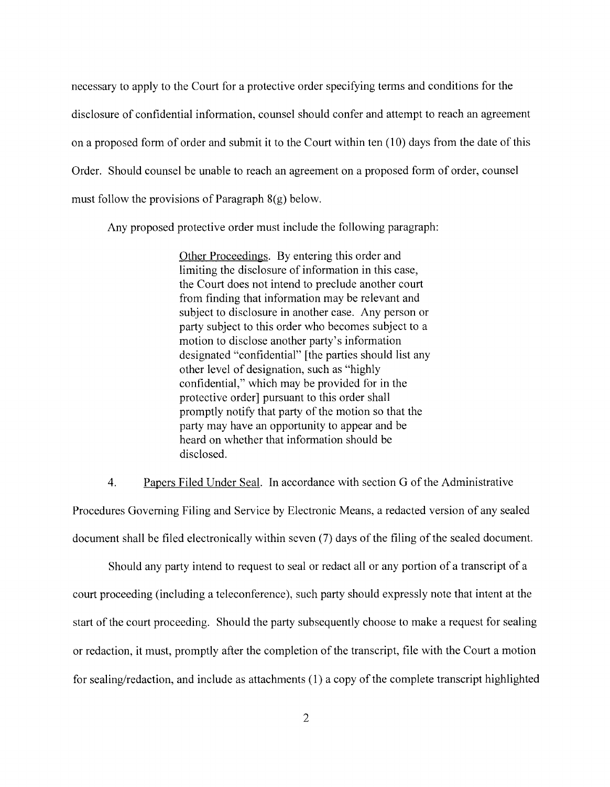necessary to apply to the Court for a protective order specifying terms and conditions for the disclosure of confidential information, counsel should confer and attempt to reach an agreement on a proposed form of order and submit it to the Court within ten (10) days from the date of this Order. Should counsel be unable to reach an agreement on a proposed form of order, counsel must follow the provisions of Paragraph 8(g) below.

Any proposed protective order must include the following paragraph:

Other Proceedings. By entering this order and limiting the disclosure of information in this case, the Court does not intend to preclude another court from finding that information may be relevant and subject to disclosure in another case. Any person or party subject to this order who becomes subject to a motion to disclose another party's information designated "confidential" [the parties should list any other level of designation, such as "highly confidential," which may be provided for in the protective order] pursuant to this order shall promptly notify that party of the motion so that the party may have an opportunity to appear and be heard on whether that information should be disclosed.

4. Papers Filed Under Seal. In accordance with section G of the Administrative

Procedures Governing Filing and Service by Electronic Means, a redacted version of any sealed document shall be filed electronically within seven (7) days of the filing of the sealed document.

Should any party intend to request to seal or redact all or any portion of a transcript of a court proceeding (including a teleconference), such party should expressly note that intent at the start of the court proceeding. Should the party subsequently choose to make a request for sealing or redaction, it must, promptly after the completion of the transcript, file with the Court a motion for sealing/redaction, and include as attachments (1) a copy of the complete transcript highlighted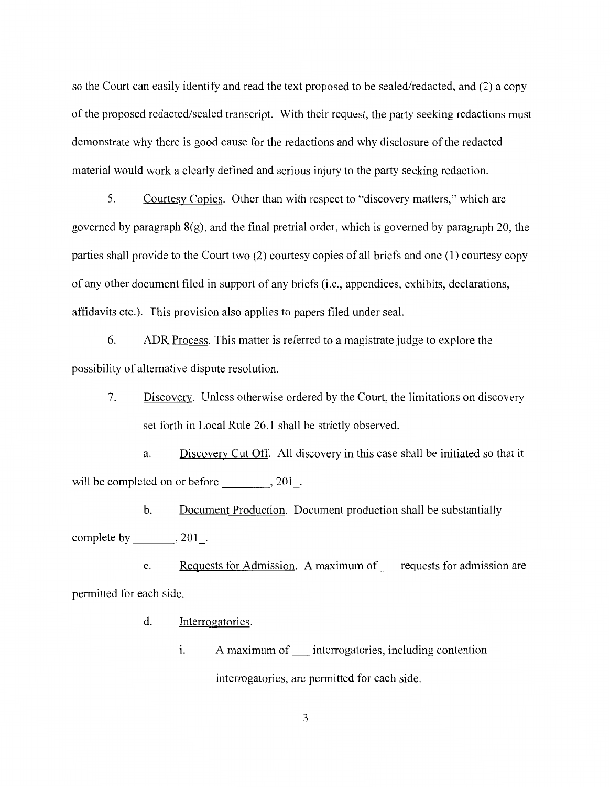so the Court can easily identify and read the text proposed to be sealed/redacted, and (2) a copy of the proposed redacted/sealed transcript. With their request, the party seeking redactions must demonstrate why there is good cause for the redactions and why disclosure of the redacted material would work a clearly defined and serious injury to the party seeking redaction.

5. Courtesy Copies. Other than with respect to "discovery matters," which are governed by paragraph  $8(g)$ , and the final pretrial order, which is governed by paragraph 20, the parties shall provide to the Court two (2) courtesy copies of all briefs and one (1) courtesy copy of any other document filed in support of any briefs (i.e., appendices, exhibits, declarations, affidavits etc.). This provision also applies to papers filed under seal.

6. ADR Process. This matter is referred to a magistrate judge to explore the possibility of alternative dispute resolution.

7. Discovery. Unless otherwise ordered by the Court, the limitations on discovery set forth in Local Rule 26.1 shall be strictly observed.

a. Discovery Cut Off. All discovery in this case shall be initiated so that it will be completed on or before \_\_\_\_\_\_\_, 201\_.

b. Document Production. Document production shall be substantially complete by  $\_\_\_$ , 201 $\_\_$ .

c. Requests for Admission. A maximum of\_ requests for admission are permitted for each side.

- d. Interrogatories.
	- i. A maximum of interrogatories, including contention interrogatories, are permitted for each side.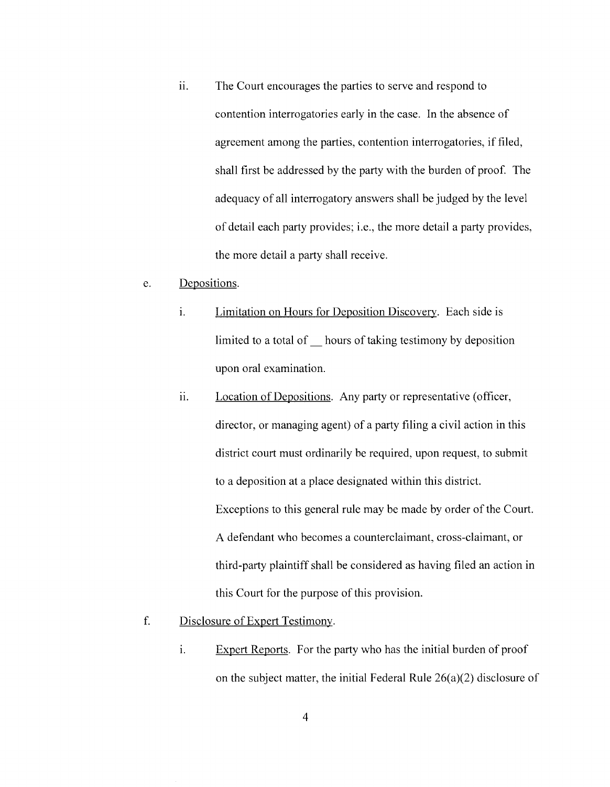ii. The Court encourages the parties to serve and respond to contention interrogatories early in the case. In the absence of agreement among the parties, contention interrogatories, if filed, shall first be addressed by the party with the burden of proof. The adequacy of all interrogatory answers shall be judged by the level of detail each party provides; i.e., the more detail a party provides, the more detail a party shall receive.

#### e. Depositions.

- i. **Limitation on Hours for Deposition Discovery.** Each side is limited to a total of hours of taking testimony by deposition upon oral examination.
- ii. Location of Depositions. Any party or representative (officer, director, or managing agent) of a party filing a civil action in this district court must ordinarily be required, upon request, to submit to a deposition at a place designated within this district. Exceptions to this general rule may be made by order of the Court. A defendant who becomes a counterclaimant, cross-claimant, or third-party plaintiff shall be considered as having filed an action in this Court for the purpose of this provision.

## f. Disclosure of Expert Testimony.

i. Expert Reports. For the party who has the initial burden of proof on the subject matter, the initial Federal Rule  $26(a)(2)$  disclosure of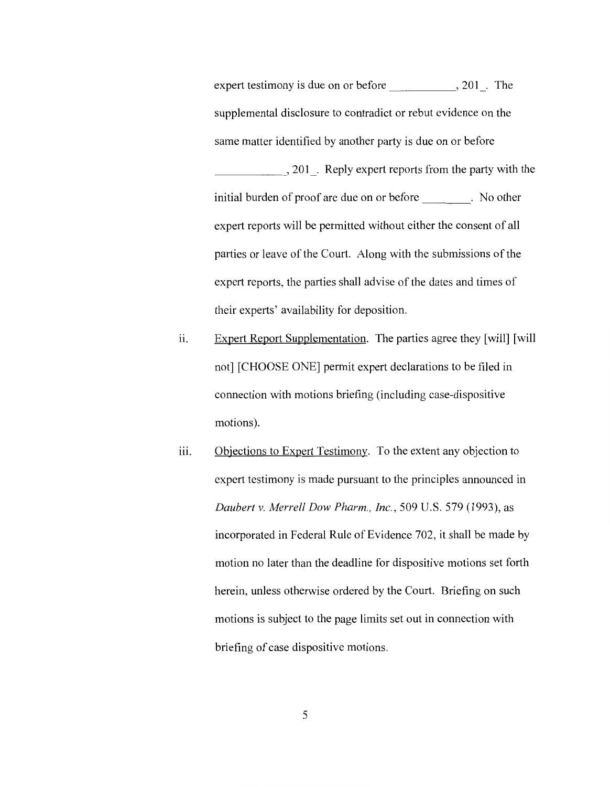expert testimony is due on or before  $\qquad \qquad , 201$ . The supplemental disclosure to contradict or rebut evidence on the same matter identified by another party is due on or before \_\_\_\_\_ , 201 \_. Reply expert reports from the party with the initial burden of proof are due on or before . No other expert reports will be permitted without either the consent of all parties or leave of the Court. Along with the submissions of the expert reports, the parties shall advise of the dates and times of their experts' availability for deposition.

- ii. Expert Report Supplementation. The parties agree they [will] [will] not] [CHOOSE ONE] permit expert declarations to be filed in connection with motions briefing (including case-dispositive motions).
- iii. Objections to Expert Testimony. To the extent any objection to expert testimony is made pursuant to the principles announced in *Daubert v. Merrell Dow Pharm., Inc.,* 509 U.S. 579 (1993), as incorporated in Federal Rule of Evidence 702, it shall be made by motion no later than the deadline for dispositive motions set forth herein, unless otherwise ordered by the Court. Briefing on such motions is subject to the page limits set out in connection with briefing of case dispositive motions.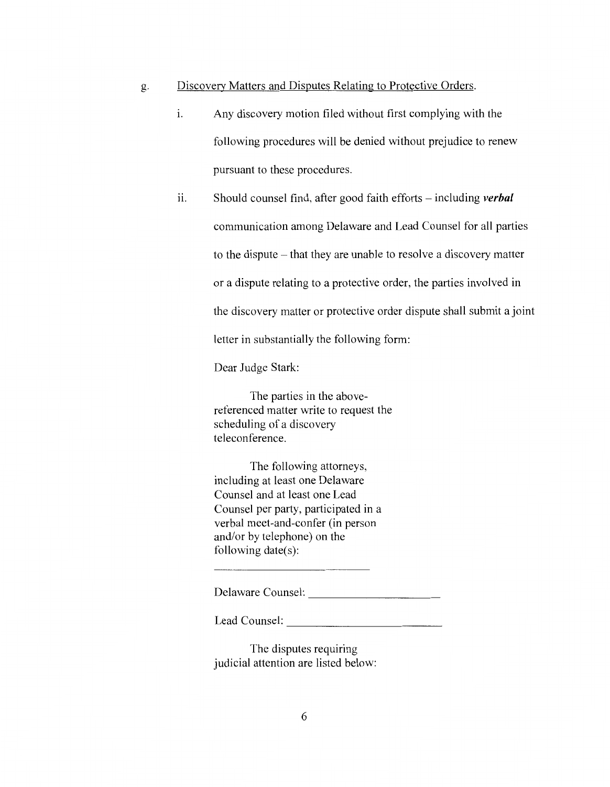## g. Discovery Matters and Disputes Relating to Protective Orders.

- 1. Any discovery motion filed without first complying with the following procedures will be denied without prejudice to renew pursuant to these procedures.
- ii. Should counsel find, after good faith efforts including *verbal* communication among Delaware and Lead Counsel for all parties to the dispute - that they are unable to resolve a discovery matter or a dispute relating to a protective order, the parties involved in the discovery matter or protective order dispute shall submit a joint letter in substantially the following form:

Dear Judge Stark:

The parties in the abovereferenced matter write to request the scheduling of a discovery teleconference.

The following attorneys, including at least one Delaware Counsel and at least one Lead Counsel per party, participated in a verbal meet-and-confer (in person and/or by telephone) on the following date(s):

Delaware Counsel:

Lead Counsel:

The disputes requiring judicial attention are listed below: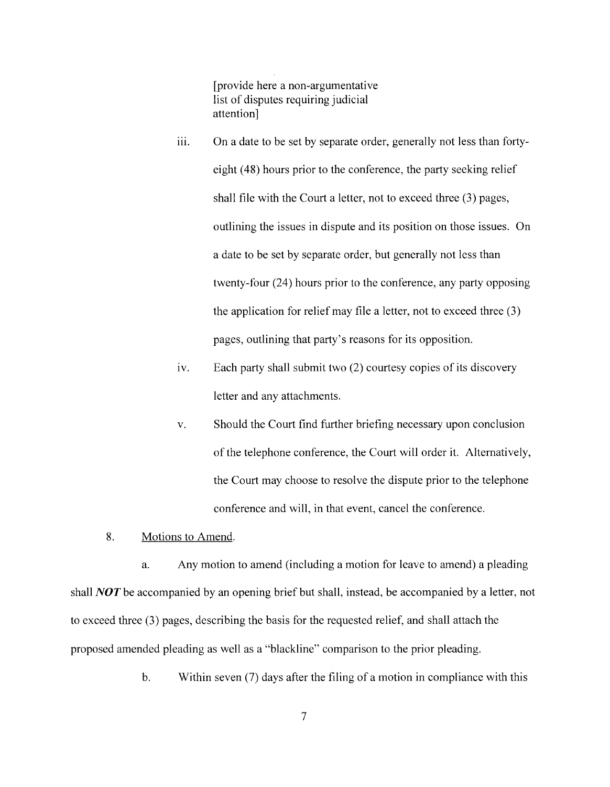[provide here a non-argumentative list of disputes requiring judicial attention]

- iii. On a date to be set by separate order, generally not less than fortyeight (48) hours prior to the conference, the party seeking relief shall file with the Court a letter, not to exceed three (3) pages, outlining the issues in dispute and its position on those issues. On a date to be set by separate order, but generally not less than twenty-four (24) hours prior to the conference, any party opposing the application for relief may file a letter, not to exceed three (3) pages, outlining that party's reasons for its opposition.
- iv. Each party shall submit two (2) courtesy copies of its discovery letter and any attachments.
- v. Should the Court find further briefing necessary upon conclusion of the telephone conference, the Court will order it. Alternatively, the Court may choose to resolve the dispute prior to the telephone conference and will, in that event, cancel the conference.
- 8. Motions to Amend.

a. Any motion to amend (including a motion for leave to amend) a pleading shall *NOT* be accompanied by an opening brief but shall, instead, be accompanied by a letter, not to exceed three (3) pages, describing the basis for the requested relief, and shall attach the proposed amended pleading as well as a "blackline" comparison to the prior pleading.

b. Within seven (7) days after the filing of a motion in compliance with this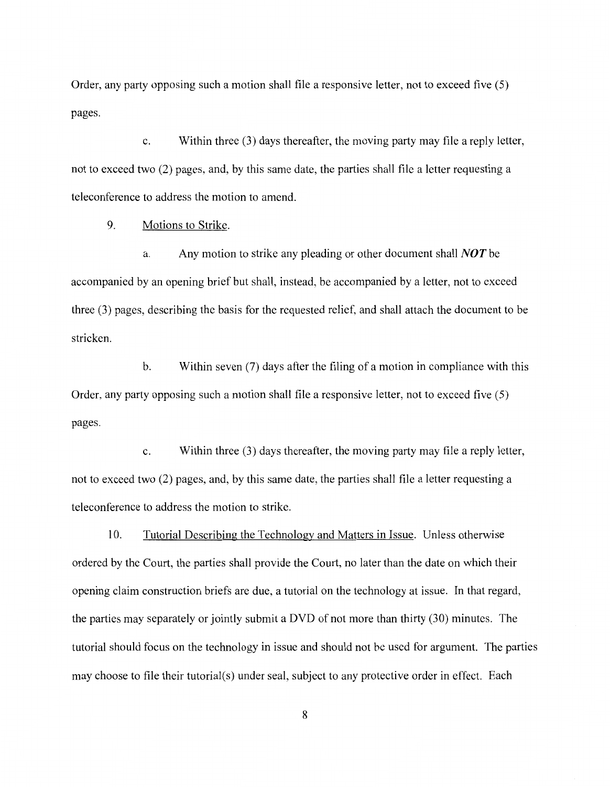Order, any party opposing such a motion shall file a responsive letter, not to exceed five (5) pages.

c. Within three (3) days thereafter, the moving party may file a reply letter, not to exceed two (2) pages, and, by this same date, the parties shall file a letter requesting a teleconference to address the motion to amend.

9. Motions to Strike.

a. Any motion to strike any pleading or other document shall *NOT* be accompanied by an opening brief but shall, instead, be accompanied by a letter, not to exceed three (3) pages, describing the basis for the requested relief, and shall attach the document to be stricken.

b. Within seven (7) days after the filing of a motion in compliance with this Order, any party opposing such a motion shall file a responsive letter, not to exceed five (5) pages.

c. Within three (3) days thereafter, the moving party may file a reply letter, not to exceed two (2) pages, and, by this same date, the parties shall file a letter requesting a teleconference to address the motion to strike.

10. Tutorial Describing the Technology and Matters in Issue. Unless otherwise ordered by the Court, the parties shall provide the Court, no later than the date on which their opening claim construction briefs are due, a tutorial on the technology at issue. In that regard, the parties may separately or jointly submit a DVD of not more than thirty (30) minutes. The tutorial should focus on the technology in issue and should not be used for argument. The parties may choose to file their tutorial(s) under seal, subject to any protective order in effect. Each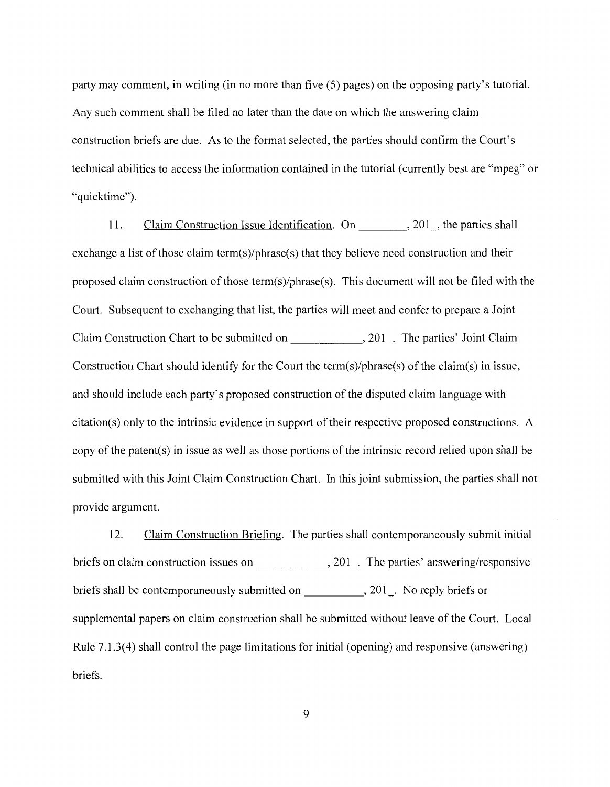party may comment, in writing (in no more than five (5) pages) on the opposing party's tutorial. Any such comment shall be filed no later than the date on which the answering claim construction briefs are due. As to the format selected, the parties should confirm the Court's technical abilities to access the information contained in the tutorial (currently best are "mpeg" or "quicktime").

11. Claim Construction Issue Identification. On 201, the parties shall exchange a list of those claim term(s)/phrase(s) that they believe need construction and their proposed claim construction of those term(s)/phrase(s). This document will not be filed with the Court. Subsequent to exchanging that list, the parties will meet and confer to prepare a Joint Claim Construction Chart to be submitted on \_\_\_\_\_\_ , 201\_. The parties' Joint Claim Construction Chart should identify for the Court the term(s)/phrase(s) of the claim(s) in issue, and should include each party's proposed construction of the disputed claim language with citation(s) only to the intrinsic evidence in support of their respective proposed constructions. A copy of the patent(s) in issue as well as those portions of the intrinsic record relied upon shall be submitted with this Joint Claim Construction Chart. In this joint submission, the parties shall not provide argument.

12. Claim Construction Briefing. The parties shall contemporaneously submit initial briefs on claim construction issues on \_\_\_\_\_\_\_\_\_\_\_\_\_\_, 201\_. The parties' answering/responsive briefs shall be contemporaneously submitted on \_\_\_\_\_\_\_\_\_\_, 201\_. No reply briefs or supplemental papers on claim construction shall be submitted without leave of the Court. Local Rule 7.1.3(4) shall control the page limitations for initial (opening) and responsive (answering) briefs.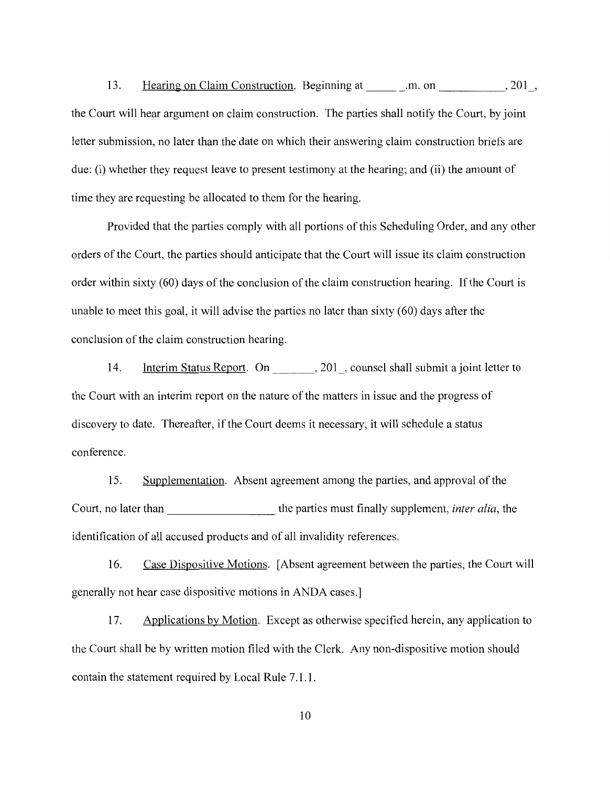13. Hearing on Claim Construction. Beginning at \_\_\_\_\_\_m. on \_\_\_\_\_\_\_\_\_\_\_\_, 201\_, the Court will hear argument on claim construction. The parties shall notify the Court, by joint letter submission, no later than the date on which their answering claim construction briefs are due: (i) whether they request leave to present testimony at the hearing; and (ii) the amount of time they are requesting be allocated to them for the hearing.

Provided that the parties comply with all portions of this Scheduling Order, and any other orders of the Court, the parties should anticipate that the Court will issue its claim construction order within sixty (60) days of the conclusion of the claim construction hearing. If the Court is unable to meet this goal, it will advise the parties no later than sixty (60) days after the conclusion of the claim construction hearing.

14. Interim Status Report. On 201, counsel shall submit a joint letter to the Court with an interim report on the nature of the matters in issue and the progress of discovery to date. Thereafter, if the Court deems it necessary, it will schedule a status conference.

15. Supplementation. Absent agreement among the parties, and approval of the Court, no later than the parties must finally supplement, *inter alia*, the identification of all accused products and of all invalidity references.

16. Case Dispositive Motions. [Absent agreement between the parties, the Court will generally not hear case dispositive motions in ANDA cases.]

17. Applications by Motion. Except as otherwise specified herein, any application to the Court shall be by written motion filed with the Clerk. Any non-dispositive motion should contain the statement required by Local Rule 7 .1.1.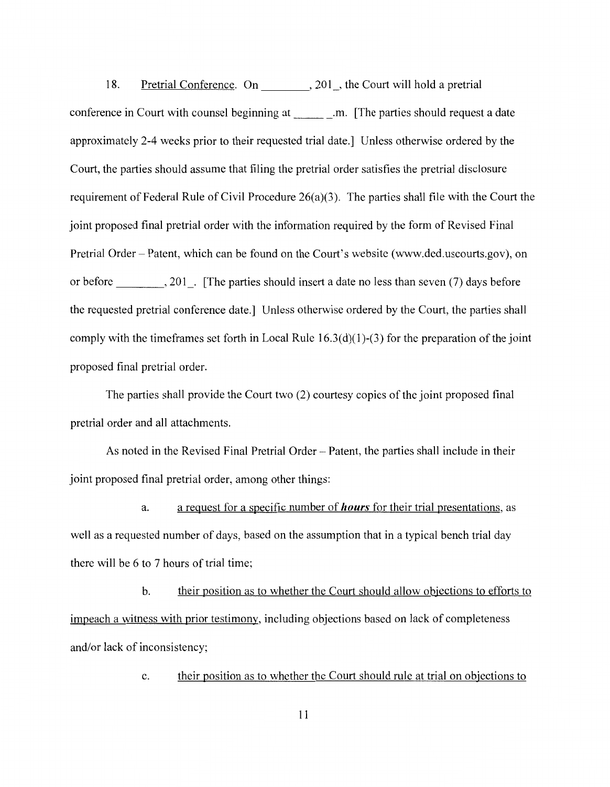18. Pretrial Conference. On 301, the Court will hold a pretrial conference in Court with counsel beginning at .m. [The parties should request a date approximately 2-4 weeks prior to their requested trial date.] Unless otherwise ordered by the Court, the parties should assume that filing the pretrial order satisfies the pretrial disclosure requirement of Federal Rule of Civil Procedure 26(a)(3). The parties shall file with the Court the joint proposed final pretrial order with the information required by the form of Revised Final Pretrial Order - Patent, which can be found on the Court's website (www.ded.uscourts.gov), on or before \_\_\_\_\_\_\_, 201\_. [The parties should insert a date no less than seven (7) days before the requested pretrial conference date.) Unless otherwise ordered by the Court, the parties shall comply with the timeframes set forth in Local Rule  $16.3(d)(1)-(3)$  for the preparation of the joint proposed final pretrial order.

The parties shall provide the Court two (2) courtesy copies of the joint proposed final pretrial order and all attachments.

As noted in the Revised Final Pretrial Order - Patent, the parties shall include in their joint proposed final pretrial order, among other things:

a. a request for a specific number of *hours* for their trial presentations, as well as a requested number of days, based on the assumption that in a typical bench trial day there will be 6 to 7 hours of trial time;

b. their position as to whether the Court should allow objections to efforts to impeach a witness with prior testimony, including objections based on lack of completeness and/or lack of inconsistency;

c. their position as to whether the Court should rule at trial on objections to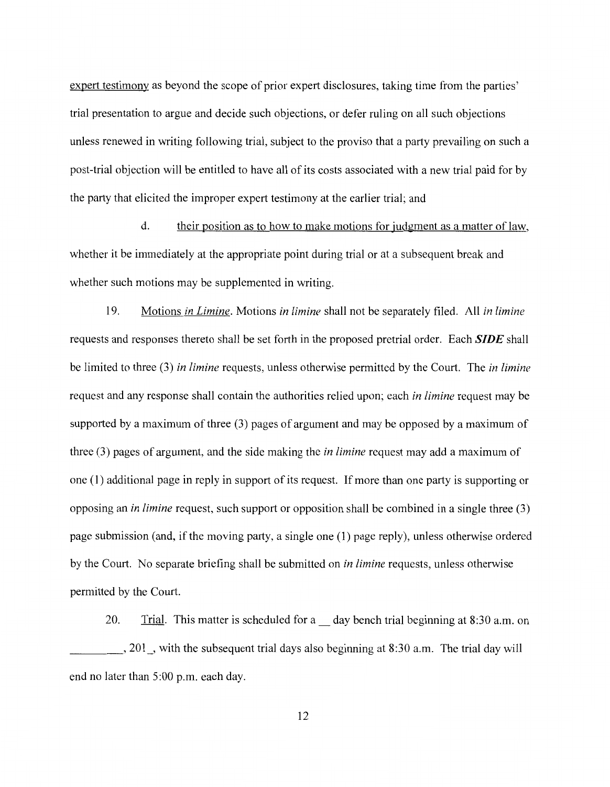expert testimony as beyond the scope of prior expert disclosures, taking time from the parties' trial presentation to argue and decide such objections, or defer ruling on all such objections unless renewed in writing following trial, subject to the proviso that a party prevailing on such a post-trial objection will be entitled to have all of its costs associated with a new trial paid for by the party that elicited the improper expert testimony at the earlier trial; and

d. their position as to how to make motions for judgment as a matter of law, whether it be immediately at the appropriate point during trial or at a subsequent break and whether such motions may be supplemented in writing.

19. Motions *in Limine.* Motions *in limine* shall not be separately filed. All *in limine*  requests and responses thereto shall be set forth in the proposed pretrial order. Each *SIDE* shall be limited to three (3) *in limine* requests, unless otherwise permitted by the Court. The *in limine*  request and any response shall contain the authorities relied upon; each *in limine* request may be supported by a maximum of three (3) pages of argument and may be opposed by a maximum of three (3) pages of argument, and the side making the *in limine* request may add a maximum of one (1) additional page in reply in support of its request. If more than one party is supporting or opposing an *in limine* request, such support or opposition shall be combined in a single three (3) page submission (and, if the moving party, a single one (1) page reply), unless otherwise ordered by the Court. No separate briefing shall be submitted on *in limine* requests, unless otherwise permitted by the Court.

20. Trial. This matter is scheduled for a day bench trial beginning at 8:30 a.m. on  $\_\_\_$ , 201  $\_\$ , with the subsequent trial days also beginning at 8:30 a.m. The trial day will end no later than 5:00 p.m. each day.